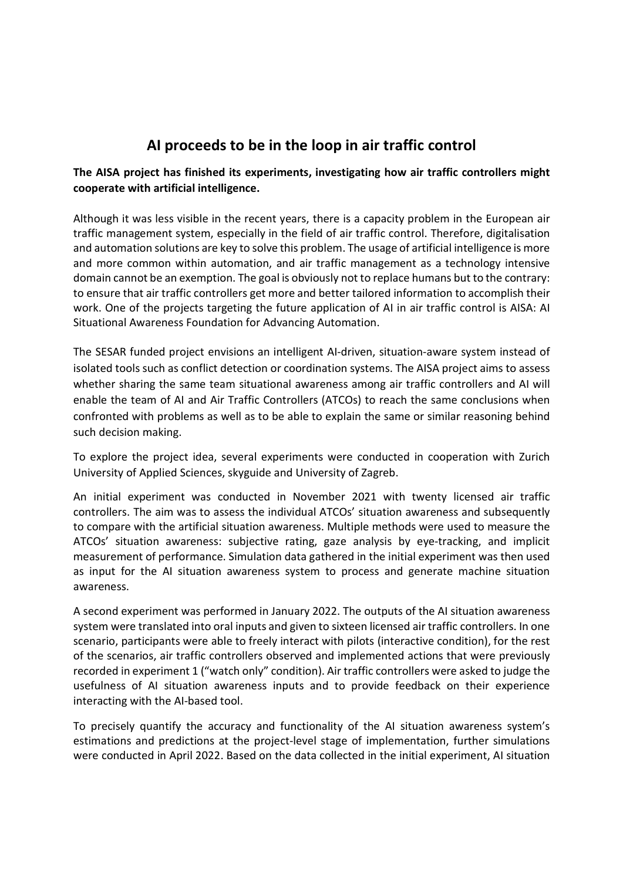## AI proceeds to be in the loop in air traffic control

## The AISA project has finished its experiments, investigating how air traffic controllers might cooperate with artificial intelligence.

Although it was less visible in the recent years, there is a capacity problem in the European air traffic management system, especially in the field of air traffic control. Therefore, digitalisation and automation solutions are key to solve this problem. The usage of artificial intelligence is more and more common within automation, and air traffic management as a technology intensive domain cannot be an exemption. The goal is obviously not to replace humans but to the contrary: to ensure that air traffic controllers get more and better tailored information to accomplish their work. One of the projects targeting the future application of AI in air traffic control is AISA: AI Situational Awareness Foundation for Advancing Automation.

The SESAR funded project envisions an intelligent AI-driven, situation-aware system instead of isolated tools such as conflict detection or coordination systems. The AISA project aims to assess whether sharing the same team situational awareness among air traffic controllers and AI will enable the team of AI and Air Traffic Controllers (ATCOs) to reach the same conclusions when confronted with problems as well as to be able to explain the same or similar reasoning behind such decision making.

To explore the project idea, several experiments were conducted in cooperation with Zurich University of Applied Sciences, skyguide and University of Zagreb.

An initial experiment was conducted in November 2021 with twenty licensed air traffic controllers. The aim was to assess the individual ATCOs' situation awareness and subsequently to compare with the artificial situation awareness. Multiple methods were used to measure the ATCOs' situation awareness: subjective rating, gaze analysis by eye-tracking, and implicit measurement of performance. Simulation data gathered in the initial experiment was then used as input for the AI situation awareness system to process and generate machine situation awareness.

A second experiment was performed in January 2022. The outputs of the AI situation awareness system were translated into oral inputs and given to sixteen licensed air traffic controllers. In one scenario, participants were able to freely interact with pilots (interactive condition), for the rest of the scenarios, air traffic controllers observed and implemented actions that were previously recorded in experiment 1 ("watch only" condition). Air traffic controllers were asked to judge the usefulness of AI situation awareness inputs and to provide feedback on their experience interacting with the AI-based tool.

To precisely quantify the accuracy and functionality of the AI situation awareness system's estimations and predictions at the project-level stage of implementation, further simulations were conducted in April 2022. Based on the data collected in the initial experiment, AI situation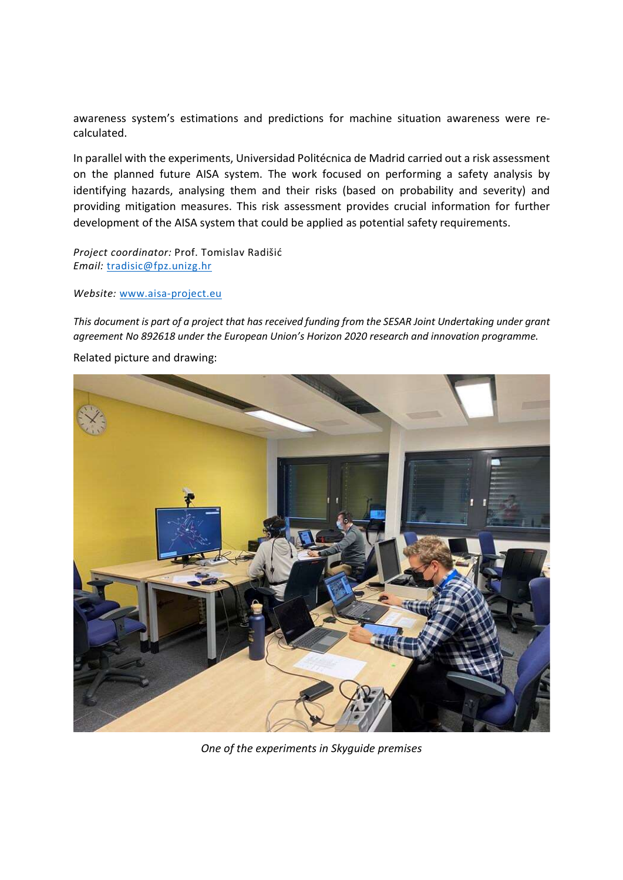awareness system's estimations and predictions for machine situation awareness were recalculated.

In parallel with the experiments, Universidad Politécnica de Madrid carried out a risk assessment on the planned future AISA system. The work focused on performing a safety analysis by identifying hazards, analysing them and their risks (based on probability and severity) and providing mitigation measures. This risk assessment provides crucial information for further development of the AISA system that could be applied as potential safety requirements.

Project coordinator: Prof. Tomislav Radišić Email: tradisic@fpz.unizg.hr

## Website: www.aisa-project.eu

This document is part of a project that has received funding from the SESAR Joint Undertaking under grant agreement No 892618 under the European Union's Horizon 2020 research and innovation programme.

Related picture and drawing:

One of the experiments in Skyguide premises